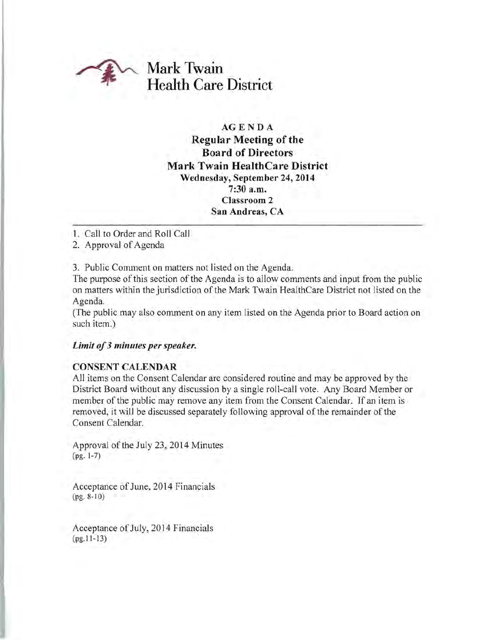

# **AGENDA**

# **Regular Meeting of the Board of Directors Mark Twain HealthCare District Wednesday, September 24, 2014 7:30 a.m. Classroom 2 San Andreas, CA**

1. Call to Order and Roll Call

2. Approval of Agenda

3. Public Comment on matters not listed on the Agenda.

The purpose of this section of the Agenda is to allow comments and input from the public on matters within the jurisdiction of the Mark Twain HealthCare District not listed on the Agenda.

(The public may also comment on any item listed on the Agenda prior to Board action on such item.)

### *Limit of***3** *minutes per speaker.*

### **CONSENT CALENDAR**

All items on the Consent Calendar are considered routine and may be approved by the District Board without any discussion by a single roll-call vote. Any Board Member or member of the public may remove any item from the Consent Calendar. If an item is removed, it will be discussed separately following approval of the remainder of the Consent Calendar.

Approval of the July 23,2014 Minutes (pg. 1-7)

Acceptance of June, 2014 Financials (pg. 8-10)

Acceptance of July, 2014 Financials (pg.II-13)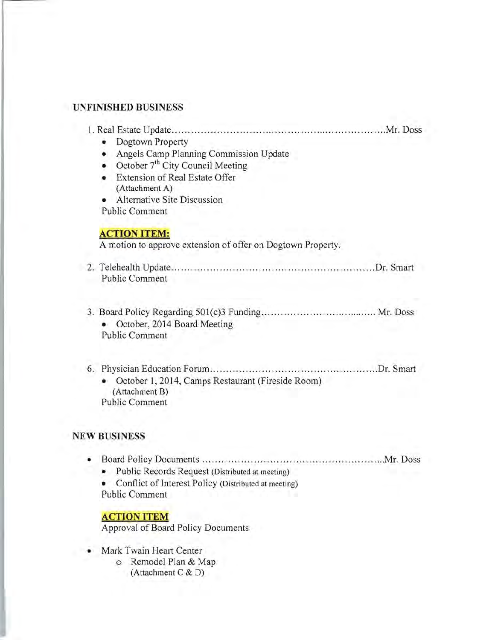#### **UNFINISHED BUSINESS**

| Dogtown Property                                            |
|-------------------------------------------------------------|
| Angels Camp Planning Commission Update<br>۰                 |
| October 7 <sup>th</sup> City Council Meeting                |
| Extension of Real Estate Offer                              |
| (Attachment A)                                              |
| Alternative Site Discussion                                 |
| <b>Public Comment</b>                                       |
| <b>ACTION ITEM:</b>                                         |
| A motion to approve extension of offer on Dogtown Property. |
| 2. Telehealth Update.<br>Dr. Smart<br>Public Comment        |
|                                                             |

l. Real Estate Update ............. .......... .. ...... ..... ................. . .............Mr. Doss

- 3. Board Policy Regarding SOl(c)3 Funding ..................................... Mr. Doss • October, 2014 Board Meeting Public Comment
- 6. Physician Education Forum .............................. .......... ............Dr. Smart • October 1, 2014, Camps Restaurant (Fireside Room) (Attachment B) Public Comment

#### **NEW BUSINESS**

- Board Policy Documents .........................................................Mr. Doss
	- Public Records Request (Distributed at meeting)
	- Conflict of Interest Policy (Distributed at meeting) Public Comment

### ACTION ITEM

Approval of Board Policy Documents

- Mark Twain Heart Center
	- o Remodel Plan & Map (Attachment C & D)